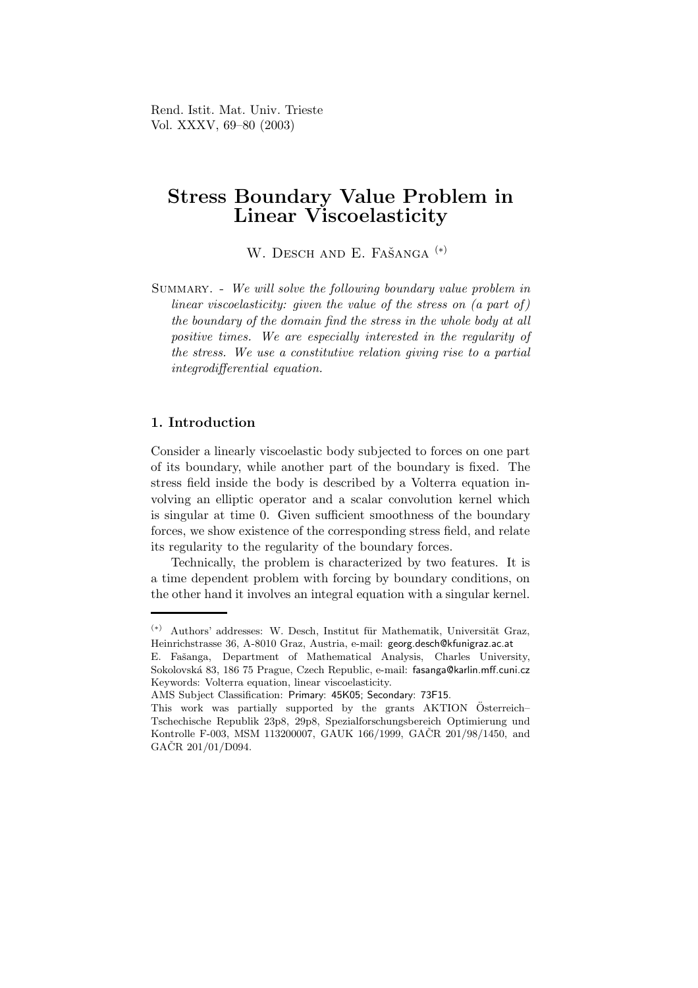Rend. Istit. Mat. Univ. Trieste Vol. XXXV, 69–80 (2003)

# Stress Boundary Value Problem in Linear Viscoelasticity

W. DESCH AND E. FAŠANGA<sup>(\*)</sup>

Summary. - We will solve the following boundary value problem in linear viscoelasticity: given the value of the stress on (a part of) the boundary of the domain find the stress in the whole body at all positive times. We are especially interested in the regularity of the stress. We use a constitutive relation giving rise to a partial integrodifferential equation.

# 1. Introduction

Consider a linearly viscoelastic body subjected to forces on one part of its boundary, while another part of the boundary is fixed. The stress field inside the body is described by a Volterra equation involving an elliptic operator and a scalar convolution kernel which is singular at time 0. Given sufficient smoothness of the boundary forces, we show existence of the corresponding stress field, and relate its regularity to the regularity of the boundary forces.

Technically, the problem is characterized by two features. It is a time dependent problem with forcing by boundary conditions, on the other hand it involves an integral equation with a singular kernel.

 $(*)$  Authors' addresses: W. Desch, Institut für Mathematik, Universität Graz, Heinrichstrasse 36, A-8010 Graz, Austria, e-mail: georg.desch@kfunigraz.ac.at

E. Fašanga, Department of Mathematical Analysis, Charles University, Sokolovská 83, 186 75 Prague, Czech Republic, e-mail: fasanga@karlin.mff.cuni.cz Keywords: Volterra equation, linear viscoelasticity.

AMS Subject Classification: Primary: 45K05; Secondary: 73F15.

This work was partially supported by the grants AKTION Österreich– Tschechische Republik 23p8, 29p8, Spezialforschungsbereich Optimierung und Kontrolle F-003, MSM 113200007, GAUK 166/1999, GAČR 201/98/1450, and  $GACR$  201/01/D094.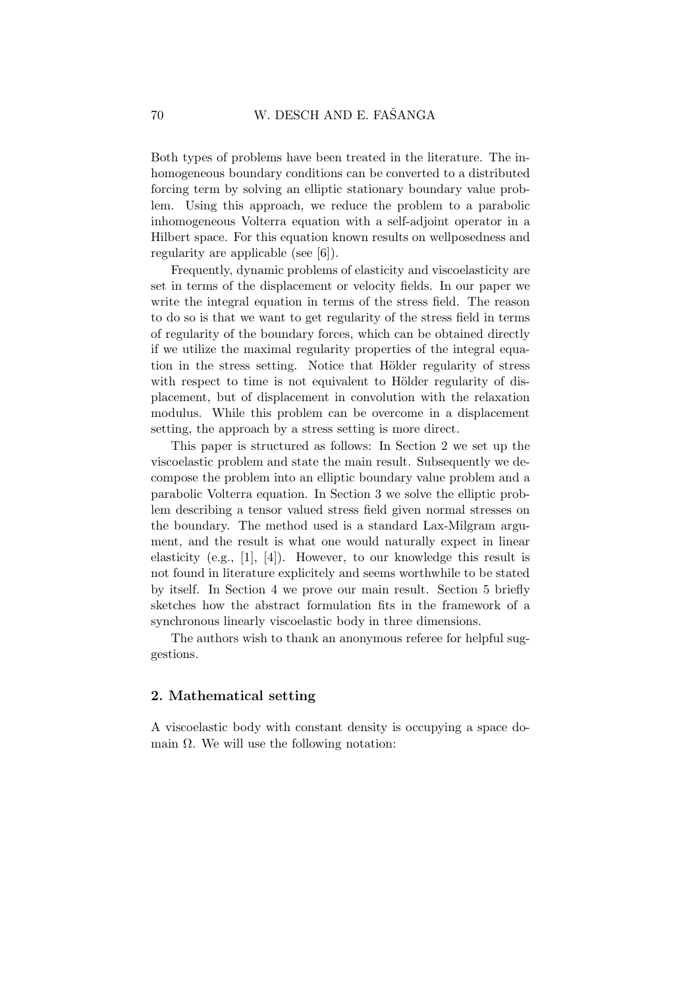Both types of problems have been treated in the literature. The inhomogeneous boundary conditions can be converted to a distributed forcing term by solving an elliptic stationary boundary value problem. Using this approach, we reduce the problem to a parabolic inhomogeneous Volterra equation with a self-adjoint operator in a Hilbert space. For this equation known results on wellposedness and regularity are applicable (see [6]).

Frequently, dynamic problems of elasticity and viscoelasticity are set in terms of the displacement or velocity fields. In our paper we write the integral equation in terms of the stress field. The reason to do so is that we want to get regularity of the stress field in terms of regularity of the boundary forces, which can be obtained directly if we utilize the maximal regularity properties of the integral equation in the stress setting. Notice that Hölder regularity of stress with respect to time is not equivalent to Hölder regularity of displacement, but of displacement in convolution with the relaxation modulus. While this problem can be overcome in a displacement setting, the approach by a stress setting is more direct.

This paper is structured as follows: In Section 2 we set up the viscoelastic problem and state the main result. Subsequently we decompose the problem into an elliptic boundary value problem and a parabolic Volterra equation. In Section 3 we solve the elliptic problem describing a tensor valued stress field given normal stresses on the boundary. The method used is a standard Lax-Milgram argument, and the result is what one would naturally expect in linear elasticity (e.g., [1], [4]). However, to our knowledge this result is not found in literature explicitely and seems worthwhile to be stated by itself. In Section 4 we prove our main result. Section 5 briefly sketches how the abstract formulation fits in the framework of a synchronous linearly viscoelastic body in three dimensions.

The authors wish to thank an anonymous referee for helpful suggestions.

## 2. Mathematical setting

A viscoelastic body with constant density is occupying a space domain  $\Omega$ . We will use the following notation: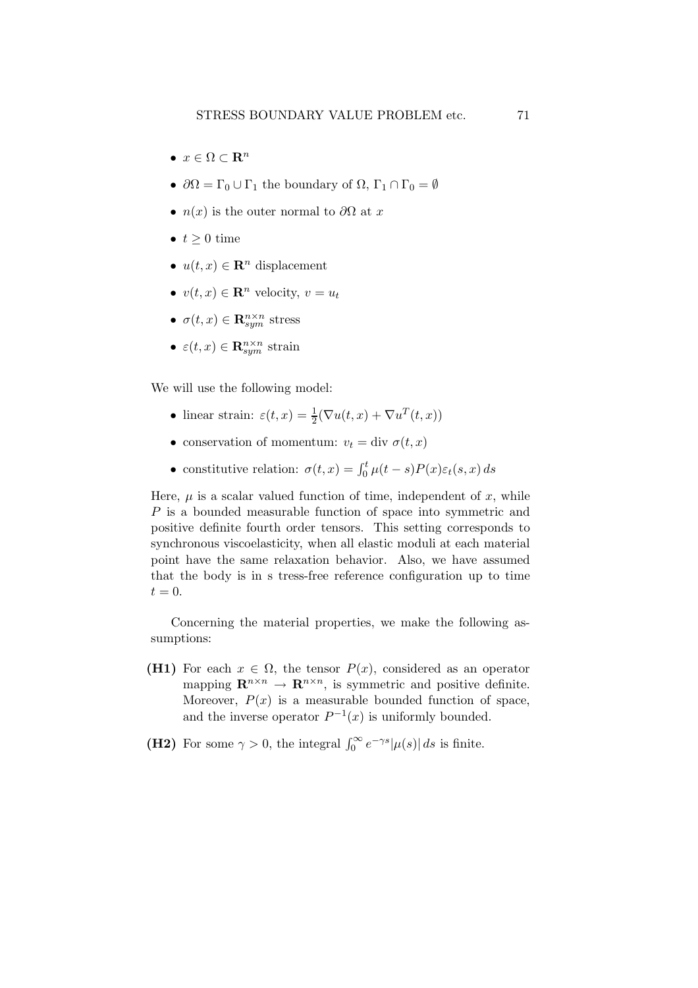- $x \in \Omega \subset \mathbf{R}^n$
- $\partial\Omega = \Gamma_0 \cup \Gamma_1$  the boundary of  $\Omega$ ,  $\Gamma_1 \cap \Gamma_0 = \emptyset$
- $n(x)$  is the outer normal to  $\partial\Omega$  at x
- $t > 0$  time
- $u(t, x) \in \mathbb{R}^n$  displacement
- $v(t, x) \in \mathbb{R}^n$  velocity,  $v = u_t$
- $\sigma(t,x) \in \mathbf{R}_{sym}^{n \times n}$  stress
- $\varepsilon(t, x) \in \mathbf{R}_{sym}^{n \times n}$  strain

We will use the following model:

- linear strain:  $\varepsilon(t, x) = \frac{1}{2}(\nabla u(t, x) + \nabla u^T(t, x))$
- conservation of momentum:  $v_t = \text{div }\sigma(t, x)$
- constitutive relation:  $\sigma(t,x) = \int_0^t \mu(t-s) P(x) \varepsilon_t(s,x) ds$

Here,  $\mu$  is a scalar valued function of time, independent of  $x$ , while P is a bounded measurable function of space into symmetric and positive definite fourth order tensors. This setting corresponds to synchronous viscoelasticity, when all elastic moduli at each material point have the same relaxation behavior. Also, we have assumed that the body is in s tress-free reference configuration up to time  $t = 0.$ 

Concerning the material properties, we make the following assumptions:

- (H1) For each  $x \in \Omega$ , the tensor  $P(x)$ , considered as an operator mapping  $\mathbf{R}^{n \times n} \to \mathbf{R}^{n \times n}$ , is symmetric and positive definite. Moreover,  $P(x)$  is a measurable bounded function of space, and the inverse operator  $P^{-1}(x)$  is uniformly bounded.
- (H2) For some  $\gamma > 0$ , the integral  $\int_0^\infty e^{-\gamma s} |\mu(s)| ds$  is finite.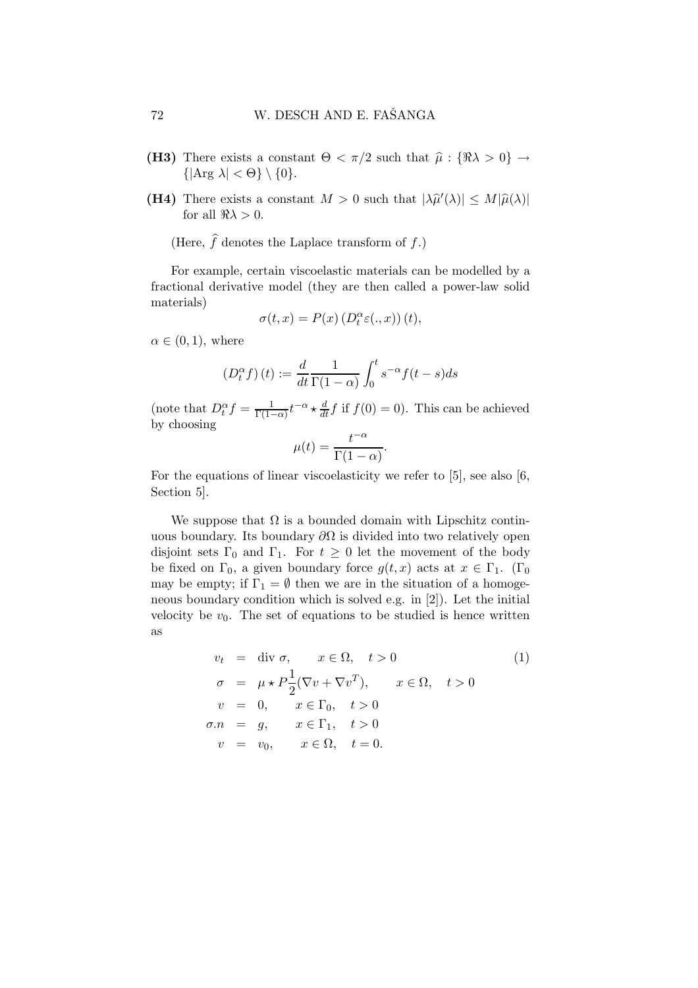- (H3) There exists a constant  $\Theta < \pi/2$  such that  $\hat{\mu} : {\Re \lambda > 0} \rightarrow$  $\{|\text{Arg }\lambda| < \Theta\} \setminus \{0\}.$
- (H4) There exists a constant  $M > 0$  such that  $|\lambda \hat{\mu}'(\lambda)| \le M |\hat{\mu}(\lambda)|$ for all  $\Re \lambda > 0$ .

(Here,  $\hat{f}$  denotes the Laplace transform of f.)

For example, certain viscoelastic materials can be modelled by a fractional derivative model (they are then called a power-law solid materials)

$$
\sigma(t,x) = P(x) \left( D_t^{\alpha} \varepsilon(.,x) \right)(t),
$$

 $\alpha \in (0,1)$ , where

$$
\left(D_t^{\alpha} f\right)(t) := \frac{d}{dt} \frac{1}{\Gamma(1-\alpha)} \int_0^t s^{-\alpha} f(t-s) ds
$$

(note that  $D_t^{\alpha} f = \frac{1}{\Gamma(1-\alpha)} t^{-\alpha} \star \frac{d}{dt} f$  if  $f(0) = 0$ ). This can be achieved by choosing

$$
\mu(t) = \frac{t^{-\alpha}}{\Gamma(1-\alpha)}.
$$

For the equations of linear viscoelasticity we refer to [5], see also [6, Section 5].

We suppose that  $\Omega$  is a bounded domain with Lipschitz continuous boundary. Its boundary  $\partial\Omega$  is divided into two relatively open disjoint sets  $\Gamma_0$  and  $\Gamma_1$ . For  $t \geq 0$  let the movement of the body be fixed on  $\Gamma_0$ , a given boundary force  $g(t, x)$  acts at  $x \in \Gamma_1$ . ( $\Gamma_0$ ) may be empty; if  $\Gamma_1 = \emptyset$  then we are in the situation of a homogeneous boundary condition which is solved e.g. in [2]). Let the initial velocity be  $v_0$ . The set of equations to be studied is hence written as

$$
v_t = \text{div }\sigma, \qquad x \in \Omega, \quad t > 0 \tag{1}
$$
  
\n
$$
\sigma = \mu \star P \frac{1}{2} (\nabla v + \nabla v^T), \qquad x \in \Omega, \quad t > 0
$$
  
\n
$$
v = 0, \qquad x \in \Gamma_0, \quad t > 0
$$
  
\n
$$
\sigma.n = g, \qquad x \in \Gamma_1, \quad t > 0
$$
  
\n
$$
v = v_0, \qquad x \in \Omega, \quad t = 0.
$$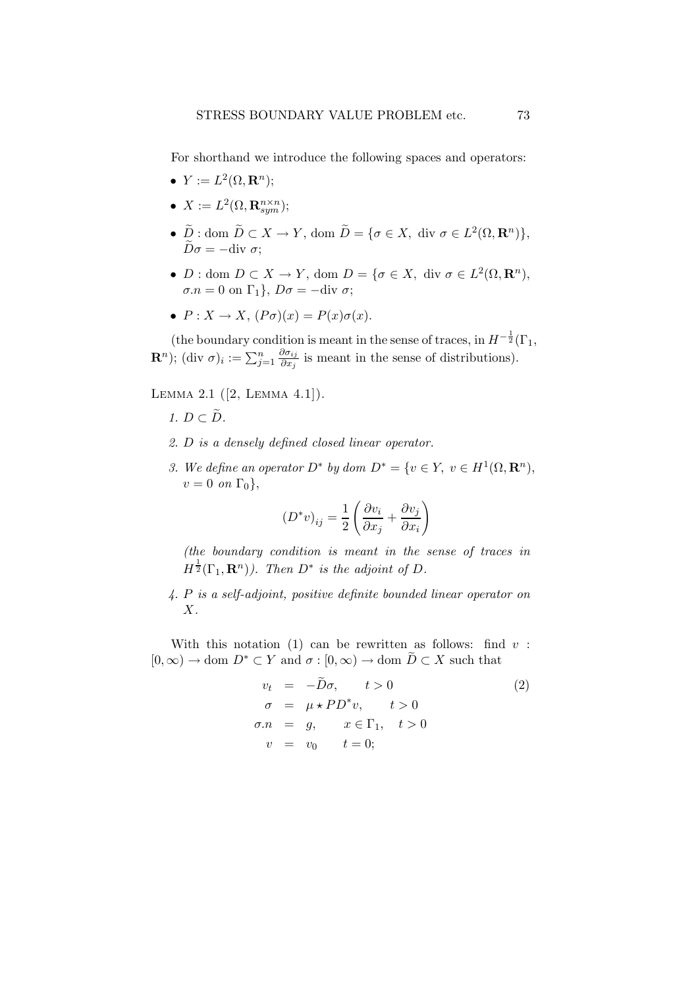For shorthand we introduce the following spaces and operators:

- $Y := L^2(\Omega, \mathbf{R}^n);$
- $X := L^2(\Omega, \mathbf{R}_{sym}^{n \times n});$
- $\widetilde{D}$  : dom  $\widetilde{D} \subset X \to Y$ , dom  $\widetilde{D} = \{ \sigma \in X, \text{ div } \sigma \in L^2(\Omega, \mathbf{R}^n) \},$  $\widetilde{D}\sigma = -\mathrm{div}\,\sigma$ ;
- $D: \text{dom } D \subset X \to Y$ ,  $\text{dom } D = \{ \sigma \in X, \text{ div } \sigma \in L^2(\Omega, \mathbf{R}^n), \}$  $\sigma.n = 0$  on  $\Gamma_1$ ,  $D\sigma = -\text{div }\sigma$ ;
- $P: X \to X$ ,  $(P\sigma)(x) = P(x)\sigma(x)$ .

(the boundary condition is meant in the sense of traces, in  $H^{-\frac{1}{2}}(\Gamma_1, \mathcal{L}_2)$ **R**<sup>n</sup>); (div σ)<sub>i</sub> :=  $\sum_{j=1}^n \frac{\partial \sigma_{ij}}{\partial x_j}$  $\frac{\partial \sigma_{ij}}{\partial x_j}$  is meant in the sense of distributions).

Lemma 2.1 ([2, Lemma 4.1]).

- 1.  $D \subset \tilde{D}$ .
- 2. D is a densely defined closed linear operator.
- 3. We define an operator  $D^*$  by dom  $D^* = \{v \in Y, v \in H^1(\Omega, \mathbf{R}^n),\}$  $v = 0$  on  $\Gamma_0$ ,

$$
(D^*v)_{ij} = \frac{1}{2} \left( \frac{\partial v_i}{\partial x_j} + \frac{\partial v_j}{\partial x_i} \right)
$$

(the boundary condition is meant in the sense of traces in  $H^{\frac{1}{2}}(\Gamma_1, \mathbf{R}^n)$ ). Then  $D^*$  is the adjoint of D.

4. P is a self-adjoint, positive definite bounded linear operator on X.

With this notation (1) can be rewritten as follows: find  $v$ :  $[0,\infty) \to \text{dom } D^* \subset Y$  and  $\sigma : [0,\infty) \to \text{dom } \tilde{D} \subset X$  such that

$$
v_t = -\widetilde{D}\sigma, \qquad t > 0
$$
  
\n
$$
\sigma = \mu \star PD^* v, \qquad t > 0
$$
  
\n
$$
\sigma.n = g, \qquad x \in \Gamma_1, \quad t > 0
$$
  
\n
$$
v = v_0 \qquad t = 0;
$$
\n(2)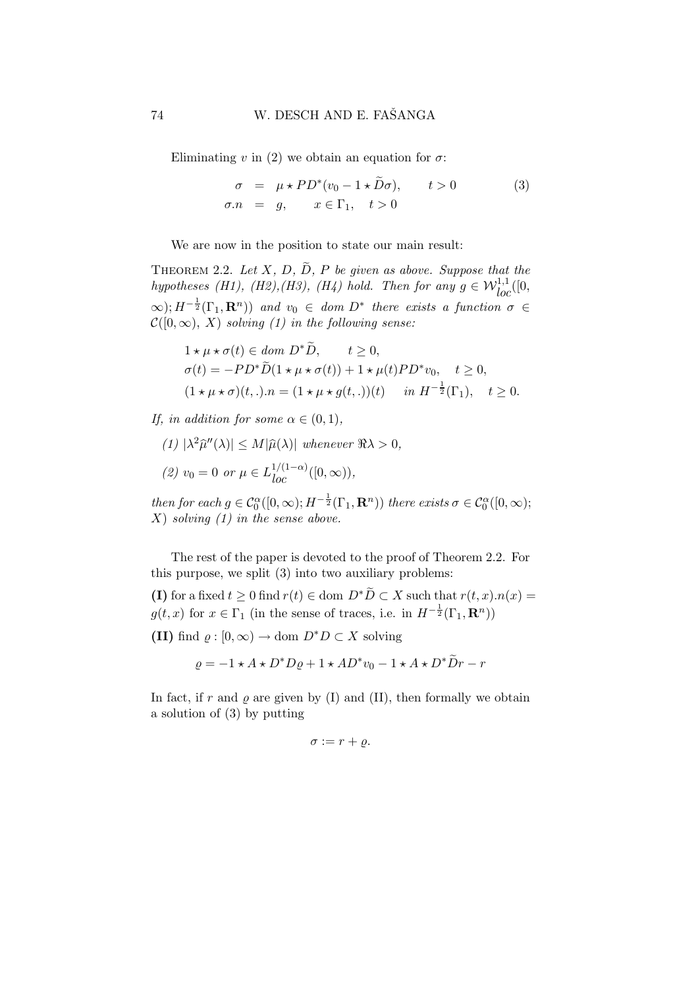Eliminating v in (2) we obtain an equation for  $\sigma$ :

$$
\begin{aligned}\n\sigma &= \mu \star PD^*(v_0 - 1 \star \tilde{D}\sigma), & t > 0 \\
\sigma.n &= g, & x \in \Gamma_1, & t > 0\n\end{aligned} \tag{3}
$$

We are now in the position to state our main result:

THEOREM 2.2. Let X, D,  $\widetilde{D}$ , P be given as above. Suppose that the hypotheses (H1), (H2), (H3), (H4) hold. Then for any  $g \in \mathcal{W}_{loc}^{1,1}([0, \frac{1}{2}])$  $\infty$ );  $H^{-\frac{1}{2}}(\Gamma_1, \mathbf{R}^n)$  and  $v_0 \in dom \ D^*$  there exists a function  $\sigma \in$  $\mathcal{C}([0,\infty), X)$  solving (1) in the following sense:

$$
\begin{aligned} &1\star\mu\star\sigma(t)\in dom\ D^*\tilde{D},\qquad t\geq 0,\\ &\sigma(t)=-PD^*\tilde{D}(1\star\mu\star\sigma(t))+1\star\mu(t)PD^*v_0,\quad t\geq 0,\\ &(1\star\mu\star\sigma)(t,.).n=(1\star\mu\star g(t,.))(t)\quad\hbox{ in }H^{-\frac{1}{2}}(\Gamma_1),\quad t\geq 0. \end{aligned}
$$

If, in addition for some  $\alpha \in (0,1)$ ,

 $\overline{a}$ 

(1) 
$$
|\lambda^2 \hat{\mu}''(\lambda)| \le M |\hat{\mu}(\lambda)|
$$
 whenever  $\Re \lambda > 0$ ,  
(2)  $v_0 = 0$  or  $\mu \in L_{loc}^{1/(1-\alpha)}([0, \infty))$ ,

then for each  $g \in C_0^{\alpha}([0,\infty); H^{-\frac{1}{2}}(\Gamma_1, \mathbf{R}^n))$  there exists  $\sigma \in C_0^{\alpha}([0,\infty);$  $X$ ) solving  $(1)$  in the sense above.

The rest of the paper is devoted to the proof of Theorem 2.2. For this purpose, we split (3) into two auxiliary problems:

(I) for a fixed  $t \geq 0$  find  $r(t) \in$  dom  $D^*D \subset X$  such that  $r(t, x) \cdot n(x) =$  $g(t, x)$  for  $x \in \Gamma_1$  (in the sense of traces, i.e. in  $H^{-\frac{1}{2}}(\Gamma_1, \mathbf{R}^n)$ )

(II) find  $\varrho : [0, \infty) \to \text{dom } D^*D \subset X$  solving

 $\rho = -1 \star A \star D^* D \rho + 1 \star AD^* v_0 - 1 \star A \star D^* \tilde{D} r - r$ 

In fact, if r and  $\rho$  are given by (I) and (II), then formally we obtain a solution of (3) by putting

$$
\sigma := r + \varrho.
$$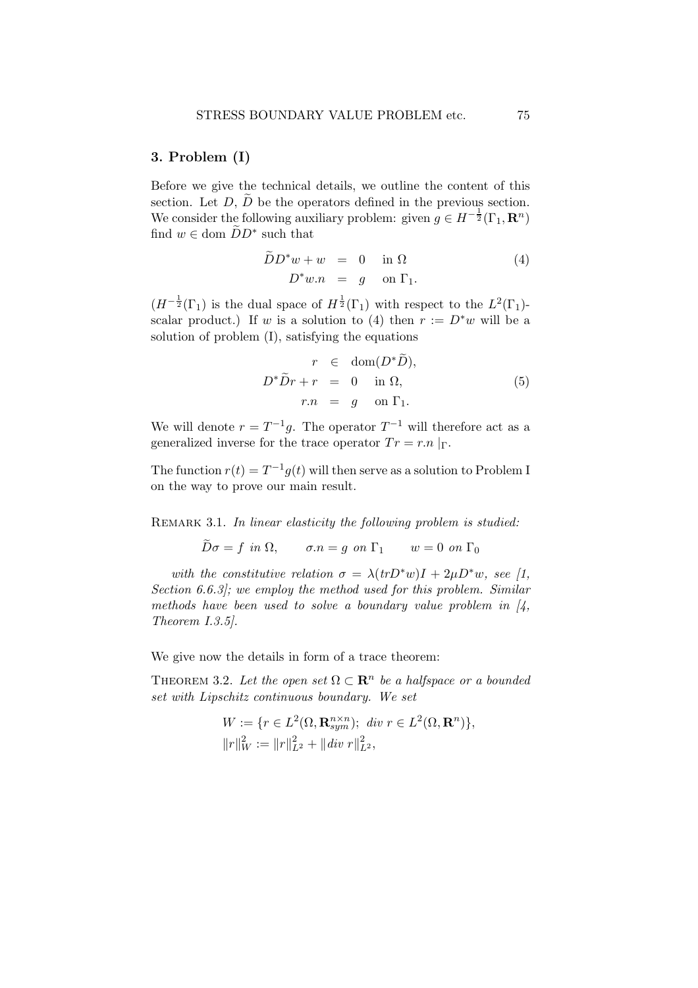#### 3. Problem (I)

Before we give the technical details, we outline the content of this section. Let  $D, \tilde{D}$  be the operators defined in the previous section. We consider the following auxiliary problem: given  $g \in H^{-\frac{1}{2}}(\Gamma_1, \mathbf{R}^n)$ find  $w \in \text{dom } \widetilde{D}D^*$  such that

$$
\widetilde{D}D^*w + w = 0 \quad \text{in } \Omega
$$
  

$$
D^*w.n = g \quad \text{on } \Gamma_1.
$$
 (4)

 $(H^{-\frac{1}{2}}(\Gamma_1))$  is the dual space of  $H^{\frac{1}{2}}(\Gamma_1)$  with respect to the  $L^2(\Gamma_1)$ scalar product.) If w is a solution to (4) then  $r := D^*w$  will be a solution of problem (I), satisfying the equations

$$
r \in \text{dom}(D^*\tilde{D}),
$$
  
\n
$$
D^*\tilde{D}r + r = 0 \text{ in } \Omega,
$$
  
\n
$$
r.n = g \text{ on } \Gamma_1.
$$
\n(5)

We will denote  $r = T^{-1}g$ . The operator  $T^{-1}$  will therefore act as a generalized inverse for the trace operator  $Tr = r.n \mid_{\Gamma}$ .

The function  $r(t) = T^{-1}g(t)$  will then serve as a solution to Problem I on the way to prove our main result.

REMARK 3.1. In linear elasticity the following problem is studied:

 $\widetilde{D}\sigma = f$  in  $\Omega$ ,  $\sigma.n = q$  on  $\Gamma_1$   $w = 0$  on  $\Gamma_0$ 

with the constitutive relation  $\sigma = \lambda (trD^*w)I + 2\mu D^*w$ , see [1, Section 6.6.3]; we employ the method used for this problem. Similar methods have been used to solve a boundary value problem in  $\mathcal{A}$ , Theorem I.3.5].

We give now the details in form of a trace theorem:

THEOREM 3.2. Let the open set  $\Omega \subset \mathbf{R}^n$  be a halfspace or a bounded set with Lipschitz continuous boundary. We set

$$
W := \{ r \in L^{2}(\Omega, \mathbf{R}_{sym}^{n \times n}); \ \text{div } r \in L^{2}(\Omega, \mathbf{R}^{n}) \},
$$
  

$$
||r||_{W}^{2} := ||r||_{L^{2}}^{2} + ||\text{div } r||_{L^{2}}^{2},
$$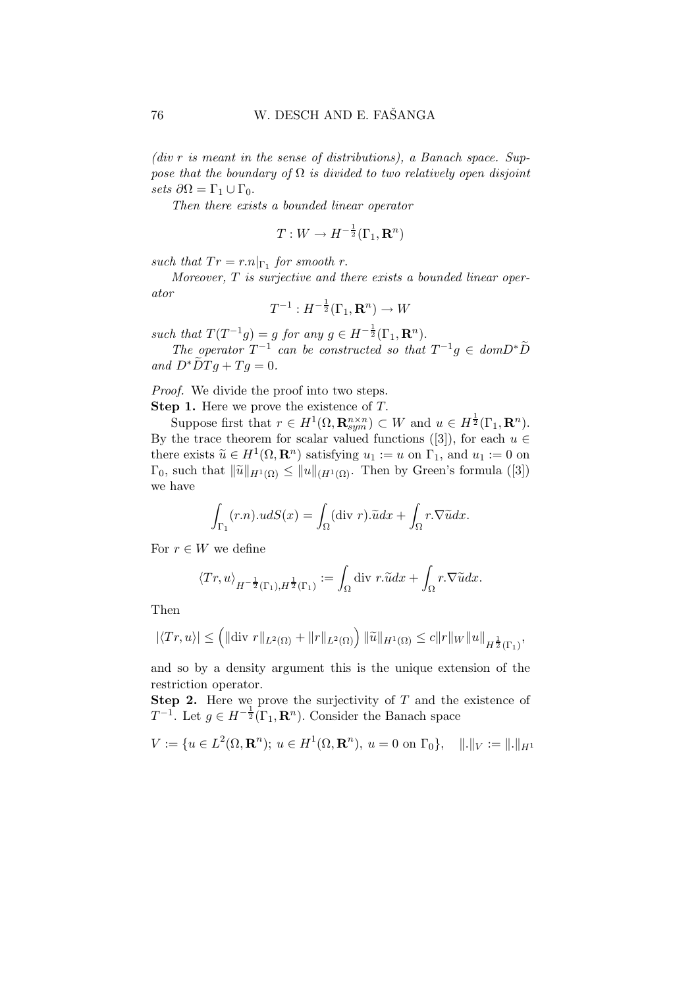$(div \, r \, is \, meant \, in \, the \, sense \, of \, distributions), \, a \, Banach \, space. \, Sup$ pose that the boundary of  $\Omega$  is divided to two relatively open disjoint sets  $\partial\Omega = \Gamma_1 \cup \Gamma_0$ .

Then there exists a bounded linear operator

$$
T: W \to H^{-\frac{1}{2}}(\Gamma_1, \mathbf{R}^n)
$$

such that  $Tr = r.n|_{\Gamma_1}$  for smooth r.

Moreover, T is surjective and there exists a bounded linear operator

$$
T^{-1}: H^{-\frac{1}{2}}(\Gamma_1, \mathbf{R}^n) \to W
$$

such that  $T(T^{-1}g) = g$  for any  $g \in H^{-\frac{1}{2}}(\Gamma_1, \mathbf{R}^n)$ .

The operator  $T^{-1}$  can be constructed so that  $T^{-1}g \in domD^*\widetilde{D}$ and  $D^* \widetilde{D} T g + T g = 0.$ 

Proof. We divide the proof into two steps. Step 1. Here we prove the existence of T.

Suppose first that  $r \in H^1(\Omega, \mathbf{R}_{sym}^{n \times n}) \subset W$  and  $u \in H^{\frac{1}{2}}(\Gamma_1, \mathbf{R}^n)$ . By the trace theorem for scalar valued functions ([3]), for each  $u \in$ there exists  $\widetilde{u} \in H^1(\Omega, \mathbf{R}^n)$  satisfying  $u_1 := u$  on  $\Gamma_1$ , and  $u_1 := 0$  on  $\Gamma_0$ , such that  $\|\tilde{u}\|_{H^1(\Omega)} \leq \|u\|_{(H^1(\Omega))}$ . Then by Green's formula ([3]) we have

$$
\int_{\Gamma_1} (r.n) \cdot u dS(x) = \int_{\Omega} (\text{div } r) \cdot \tilde{u} dx + \int_{\Omega} r \cdot \nabla \tilde{u} dx.
$$

For  $r \in W$  we define

$$
\left\langle Tr, u \right\rangle_{H^{-\frac{1}{2}}(\Gamma_1), H^{\frac{1}{2}}(\Gamma_1)} := \int_{\Omega} \text{div} \; r \cdot \widetilde{u} dx + \int_{\Omega} r \cdot \nabla \widetilde{u} dx.
$$

Then

$$
|\langle Tr, u \rangle| \le (||div r||_{L^{2}(\Omega)} + ||r||_{L^{2}(\Omega)}) ||\tilde{u}||_{H^{1}(\Omega)} \le c||r||_{W}||u||_{H^{\frac{1}{2}}(\Gamma_{1})},
$$

and so by a density argument this is the unique extension of the restriction operator.

**Step 2.** Here we prove the surjectivity of  $T$  and the existence of  $T^{-1}$ . Let  $g \in H^{-\frac{1}{2}}(\Gamma_1, \mathbf{R}^n)$ . Consider the Banach space

$$
V := \{ u \in L^2(\Omega, \mathbf{R}^n); \ u \in H^1(\Omega, \mathbf{R}^n), \ u = 0 \text{ on } \Gamma_0 \}, \quad ||.||_V := ||.||_{H^1}
$$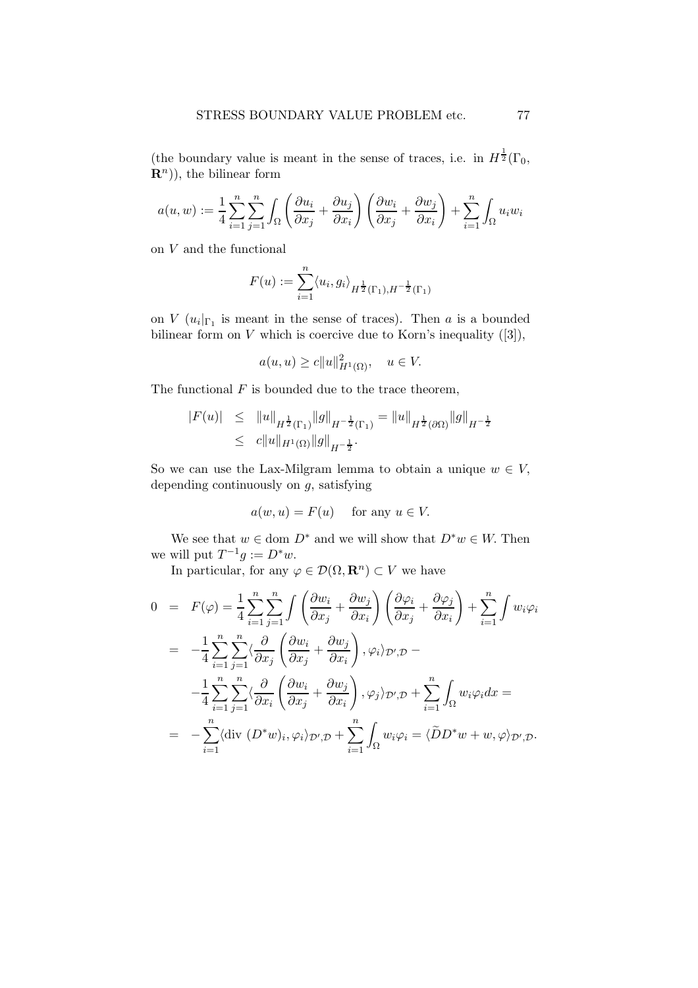(the boundary value is meant in the sense of traces, i.e. in  $H^{\frac{1}{2}}(\Gamma_0,$  $\mathbf{R}^{n}$ ), the bilinear form

$$
a(u, w) := \frac{1}{4} \sum_{i=1}^{n} \sum_{j=1}^{n} \int_{\Omega} \left( \frac{\partial u_i}{\partial x_j} + \frac{\partial u_j}{\partial x_i} \right) \left( \frac{\partial w_i}{\partial x_j} + \frac{\partial w_j}{\partial x_i} \right) + \sum_{i=1}^{n} \int_{\Omega} u_i w_i
$$

on  $V$  and the functional

$$
F(u) := \sum_{i=1}^{n} \langle u_i, g_i \rangle_{H^{\frac{1}{2}}(\Gamma_1), H^{-\frac{1}{2}}(\Gamma_1)}
$$

on  $V(u_i|_{\Gamma_1})$  is meant in the sense of traces). Then a is a bounded bilinear form on  $V$  which is coercive due to Korn's inequality  $([3]),$ 

$$
a(u, u) \ge c ||u||_{H^1(\Omega)}^2, \quad u \in V.
$$

The functional  $F$  is bounded due to the trace theorem,

$$
|F(u)| \leq \|u\|_{H^{\frac{1}{2}}(\Gamma_1)} \|g\|_{H^{-\frac{1}{2}}(\Gamma_1)} = \|u\|_{H^{\frac{1}{2}}(\partial \Omega)} \|g\|_{H^{-\frac{1}{2}}} \leq c \|u\|_{H^1(\Omega)} \|g\|_{H^{-\frac{1}{2}}}.
$$

So we can use the Lax-Milgram lemma to obtain a unique  $w \in V$ , depending continuously on  $g$ , satisfying

$$
a(w, u) = F(u) \quad \text{ for any } u \in V.
$$

We see that  $w \in \text{dom } D^*$  and we will show that  $D^*w \in W$ . Then we will put  $T^{-1}g := D^*w$ .

In particular, for any  $\varphi \in \mathcal{D}(\Omega, \mathbf{R}^n) \subset V$  we have

$$
0 = F(\varphi) = \frac{1}{4} \sum_{i=1}^{n} \sum_{j=1}^{n} \int \left( \frac{\partial w_i}{\partial x_j} + \frac{\partial w_j}{\partial x_i} \right) \left( \frac{\partial \varphi_i}{\partial x_j} + \frac{\partial \varphi_j}{\partial x_i} \right) + \sum_{i=1}^{n} \int w_i \varphi_i
$$
  
\n
$$
= -\frac{1}{4} \sum_{i=1}^{n} \sum_{j=1}^{n} \langle \frac{\partial}{\partial x_j} \left( \frac{\partial w_i}{\partial x_j} + \frac{\partial w_j}{\partial x_i} \right), \varphi_i \rangle_{\mathcal{D}',\mathcal{D}} -
$$
  
\n
$$
- \frac{1}{4} \sum_{i=1}^{n} \sum_{j=1}^{n} \langle \frac{\partial}{\partial x_i} \left( \frac{\partial w_i}{\partial x_j} + \frac{\partial w_j}{\partial x_i} \right), \varphi_j \rangle_{\mathcal{D}',\mathcal{D}} + \sum_{i=1}^{n} \int_{\Omega} w_i \varphi_i dx =
$$
  
\n
$$
= -\sum_{i=1}^{n} \langle \text{div } (D^*w)_i, \varphi_i \rangle_{\mathcal{D}',\mathcal{D}} + \sum_{i=1}^{n} \int_{\Omega} w_i \varphi_i = \langle \tilde{D} D^*w + w, \varphi \rangle_{\mathcal{D}',\mathcal{D}}.
$$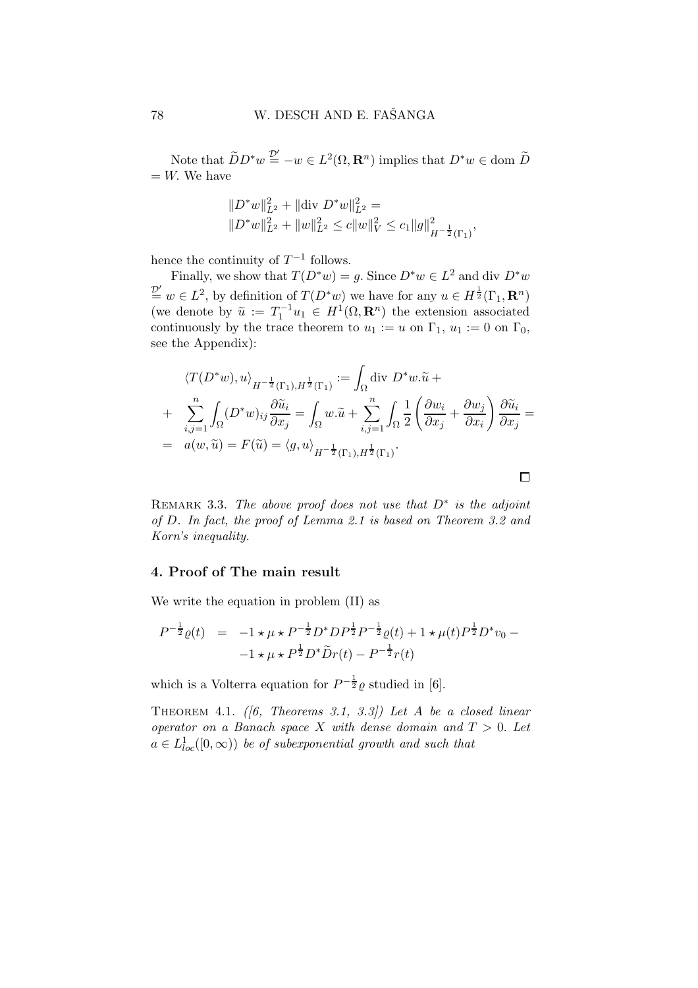Note that  $\widetilde{D}D^*w \stackrel{\mathcal{D}'}{=} -w \in L^2(\Omega, \mathbf{R}^n)$  implies that  $D^*w \in \text{dom } \widetilde{D}$  $=$  W. We have

$$
||D^*w||_{L^2}^2 + ||\text{div } D^*w||_{L^2}^2 =
$$
  

$$
||D^*w||_{L^2}^2 + ||w||_{L^2}^2 \le c||w||_V^2 \le c_1 ||g||_{H^{-\frac{1}{2}}(\Gamma_1)}^2,
$$

hence the continuity of  $T^{-1}$  follows.

Finally, we show that  $T(D^*w) = g$ . Since  $D^*w \in L^2$  and div  $D^*w$  $\mathcal{D}' \cong w \in L^2$ , by definition of  $T(D^*w)$  we have for any  $u \in H^{\frac{1}{2}}(\Gamma_1, \mathbf{R}^n)$ (we denote by  $\tilde{u} := T_1^{-1}u_1 \in H^1(\Omega, \mathbf{R}^n)$  the extension associated continuously by the trace theorem to  $u_1 := u$  on  $\Gamma_1$ ,  $u_1 := 0$  on  $\Gamma_0$ , see the Appendix):

$$
\langle T(D^*w), u \rangle_{H^{-\frac{1}{2}}(\Gamma_1), H^{\frac{1}{2}}(\Gamma_1)} := \int_{\Omega} \text{div } D^*w. \tilde{u} +
$$
  
+ 
$$
\sum_{i,j=1}^n \int_{\Omega} (D^*w)_{ij} \frac{\partial \tilde{u}_i}{\partial x_j} = \int_{\Omega} w. \tilde{u} + \sum_{i,j=1}^n \int_{\Omega} \frac{1}{2} \left( \frac{\partial w_i}{\partial x_j} + \frac{\partial w_j}{\partial x_i} \right) \frac{\partial \tilde{u}_i}{\partial x_j} =
$$
  
= 
$$
a(w, \tilde{u}) = F(\tilde{u}) = \langle g, u \rangle_{H^{-\frac{1}{2}}(\Gamma_1), H^{\frac{1}{2}}(\Gamma_1)}.
$$

 $\Box$ 

REMARK 3.3. The above proof does not use that  $D^*$  is the adjoint of D. In fact, the proof of Lemma 2.1 is based on Theorem 3.2 and Korn's inequality.

## 4. Proof of The main result

We write the equation in problem (II) as

$$
P^{-\frac{1}{2}}\varrho(t) = -1 \star \mu \star P^{-\frac{1}{2}}D^*DP^{\frac{1}{2}}P^{-\frac{1}{2}}\varrho(t) + 1 \star \mu(t)P^{\frac{1}{2}}D^*v_0 - 1 \star \mu \star P^{\frac{1}{2}}D^*\widetilde{D}r(t) - P^{-\frac{1}{2}}r(t)
$$

which is a Volterra equation for  $P^{-\frac{1}{2}}\varrho$  studied in [6].

THEOREM 4.1. (6, Theorems 3.1, 3.3)) Let A be a closed linear operator on a Banach space X with dense domain and  $T > 0$ . Let  $a \in L^1_{loc}([0,\infty))$  be of subexponential growth and such that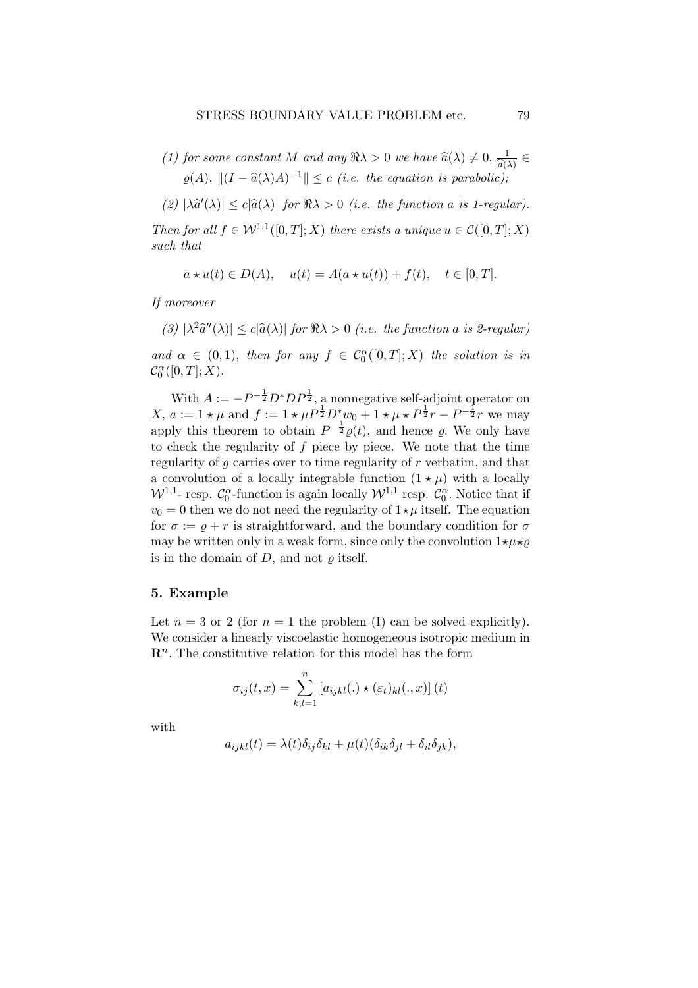- (1) for some constant M and any  $\Re \lambda > 0$  we have  $\widehat{a}(\lambda) \neq 0, \frac{1}{\widehat{a}(\lambda)} \in$  $a(\lambda)$  $\varrho(A), \| (I - \widehat{a}(\lambda)A)^{-1} \| \leq c$  (i.e. the equation is parabolic);
- (2)  $|\lambda \hat{a}'(\lambda)| \leq c|\hat{a}(\lambda)|$  for  $\Re \lambda > 0$  (i.e. the function a is 1-regular).

Then for all  $f \in \mathcal{W}^{1,1}([0,T];X)$  there exists a unique  $u \in \mathcal{C}([0,T];X)$ such that

$$
a * u(t) \in D(A),
$$
  $u(t) = A(a * u(t)) + f(t),$   $t \in [0, T].$ 

If moreover

(3)  $|\lambda^2 \hat{a}''(\lambda)| \le c |\hat{a}(\lambda)|$  for  $\Re \lambda > 0$  (i.e. the function a is 2-regular) and  $\alpha \in (0,1)$ , then for any  $f \in C_0^{\alpha}([0,T];X)$  the solution is in  $\mathcal{C}_0^{\alpha}([0,T];X).$ 

With  $A := -P^{-\frac{1}{2}} D^* D P^{\frac{1}{2}}$ , a nonnegative self-adjoint operator on  $X, a := 1 \star \mu$  and  $f := 1 \star \mu P^{\frac{1}{2}} D^* w_0 + 1 \star \mu \star P^{\frac{1}{2}} r - P^{-\frac{1}{2}} r$  we may apply this theorem to obtain  $P^{-\frac{1}{2}}\varrho(t)$ , and hence  $\varrho$ . We only have to check the regularity of  $f$  piece by piece. We note that the time regularity of  $g$  carries over to time regularity of  $r$  verbatim, and that a convolution of a locally integrable function  $(1 \star \mu)$  with a locally  $W^{1,1}$ - resp.  $C_0^{\alpha}$ -function is again locally  $W^{1,1}$  resp.  $C_0^{\alpha}$ . Notice that if  $v_0 = 0$  then we do not need the regularity of  $1 \star \mu$  itself. The equation for  $\sigma := \varrho + r$  is straightforward, and the boundary condition for  $\sigma$ may be written only in a weak form, since only the convolution  $1\star\mu\star\varrho$ is in the domain of  $D$ , and not  $\rho$  itself.

### 5. Example

Let  $n = 3$  or 2 (for  $n = 1$  the problem (I) can be solved explicitly). We consider a linearly viscoelastic homogeneous isotropic medium in  $\mathbb{R}^n$ . The constitutive relation for this model has the form

$$
\sigma_{ij}(t,x) = \sum_{k,l=1}^{n} [a_{ijkl}(.) \star (\varepsilon_t)_{kl}(.,x)](t)
$$

with

$$
a_{ijkl}(t) = \lambda(t)\delta_{ij}\delta_{kl} + \mu(t)(\delta_{ik}\delta_{jl} + \delta_{il}\delta_{jk}),
$$